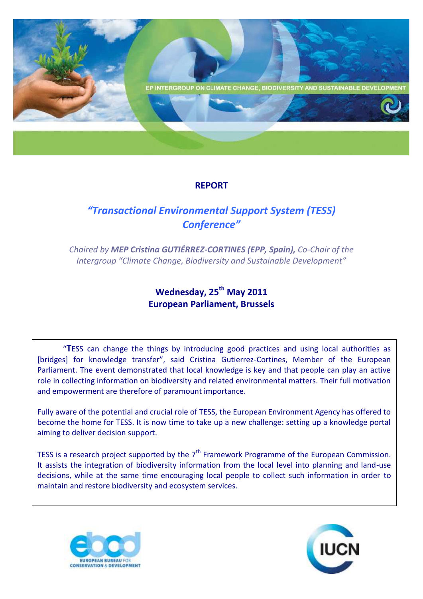

## **REPORT**

# *"Transactional Environmental Support System (TESS) Conference"*

*Chaired by MEP Cristina GUTIÉRREZ-CORTINES (EPP, Spain), Co-Chair of the Intergroup "Climate Change, Biodiversity and Sustainable Development"*

## **Wednesday, 25th May 2011 European Parliament, Brussels**

"**T**ESS can change the things by introducing good practices and using local authorities as [bridges] for knowledge transfer", said Cristina Gutierrez-Cortines, Member of the European Parliament. The event demonstrated that local knowledge is key and that people can play an active role in collecting information on biodiversity and related environmental matters. Their full motivation and empowerment are therefore of paramount importance.

Fully aware of the potential and crucial role of TESS, the European Environment Agency has offered to become the home for TESS. It is now time to take up a new challenge: setting up a knowledge portal aiming to deliver decision support.

TESS is a research project supported by the  $7<sup>th</sup>$  Framework Programme of the European Commission. It assists the integration of biodiversity information from the local level into planning and land-use decisions, while at the same time encouraging local people to collect such information in order to maintain and restore biodiversity and ecosystem services.



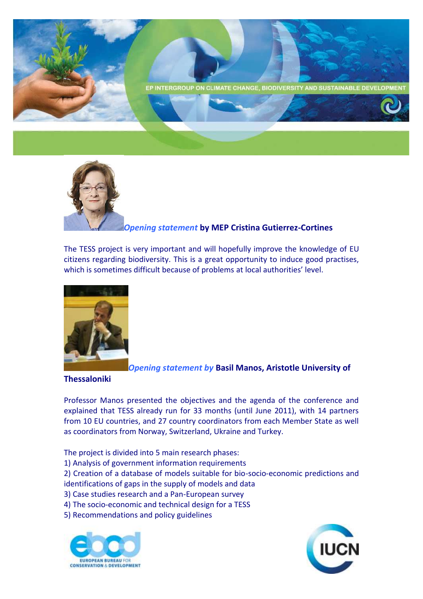



#### *Opening statement* **by MEP Cristina Gutierrez-Cortines**

The TESS project is very important and will hopefully improve the knowledge of EU citizens regarding biodiversity. This is a great opportunity to induce good practises, which is sometimes difficult because of problems at local authorities' level.



*Opening statement by* **Basil Manos, Aristotle University of** 

**Thessaloniki**

Professor Manos presented the objectives and the agenda of the conference and explained that TESS already run for 33 months (until June 2011), with 14 partners from 10 EU countries, and 27 country coordinators from each Member State as well as coordinators from Norway, Switzerland, Ukraine and Turkey.

The project is divided into 5 main research phases:

1) Analysis of government information requirements

2) Creation of a database of models suitable for bio-socio-economic predictions and identifications of gaps in the supply of models and data

3) Case studies research and a Pan-European survey

- 4) The socio-economic and technical design for a TESS
- 5) Recommendations and policy guidelines



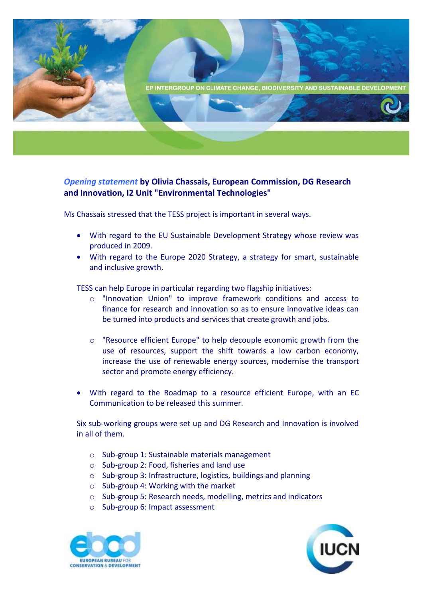

### *Opening statement* **by Olivia Chassais, European Commission, DG Research and Innovation, I2 Unit "Environmental Technologies"**

Ms Chassais stressed that the TESS project is important in several ways.

- With regard to the EU Sustainable Development Strategy whose review was produced in 2009.
- With regard to the Europe 2020 Strategy, a strategy for smart, sustainable and inclusive growth.

TESS can help Europe in particular regarding two flagship initiatives:

- o "Innovation Union" to improve framework conditions and access to finance for research and innovation so as to ensure innovative ideas can be turned into products and services that create growth and jobs.
- o "Resource efficient Europe" to help decouple economic growth from the use of resources, support the shift towards a low carbon economy, increase the use of renewable energy sources, modernise the transport sector and promote energy efficiency.
- With regard to the Roadmap to a resource efficient Europe, with an EC Communication to be released this summer.

Six sub-working groups were set up and DG Research and Innovation is involved in all of them.

- o Sub-group 1: Sustainable materials management
- o Sub-group 2: Food, fisheries and land use
- o Sub-group 3: Infrastructure, logistics, buildings and planning
- o Sub-group 4: Working with the market
- o Sub-group 5: Research needs, modelling, metrics and indicators
- o Sub-group 6: Impact assessment



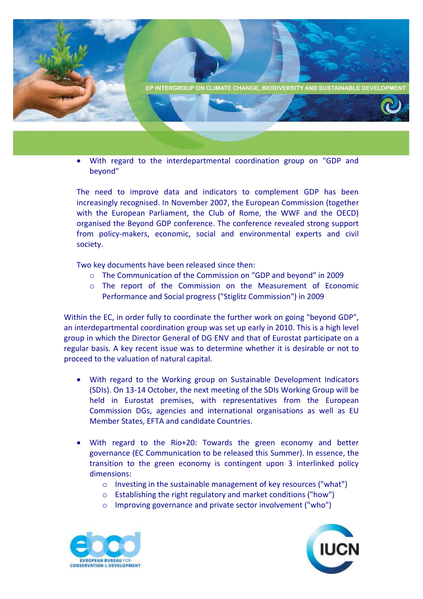

 With regard to the interdepartmental coordination group on "GDP and beyond"

The need to improve data and indicators to complement GDP has been increasingly recognised. In November 2007, the European Commission (together with the European Parliament, the Club of Rome, the WWF and the OECD) organised the Beyond GDP conference. The conference revealed strong support from policy-makers, economic, social and environmental experts and civil society.

Two key documents have been released since then:

- o The Communication of the Commission on "GDP and beyond" in 2009
- o The report of the Commission on the Measurement of Economic Performance and Social progress ("Stiglitz Commission") in 2009

Within the EC, in order fully to coordinate the further work on going "beyond GDP", an interdepartmental coordination group was set up early in 2010. This is a high level group in which the Director General of DG ENV and that of Eurostat participate on a regular basis. A key recent issue was to determine whether it is desirable or not to proceed to the valuation of natural capital.

- With regard to the Working group on Sustainable Development Indicators (SDIs). On 13-14 October, the next meeting of the SDIs Working Group will be held in Eurostat premises, with representatives from the European Commission DGs, agencies and international organisations as well as EU Member States, EFTA and candidate Countries.
- With regard to the Rio+20: Towards the green economy and better governance (EC Communication to be released this Summer). In essence, the transition to the green economy is contingent upon 3 interlinked policy dimensions:
	- o Investing in the sustainable management of key resources ("what")
	- o Establishing the right regulatory and market conditions ("how")
	- o Improving governance and private sector involvement ("who")



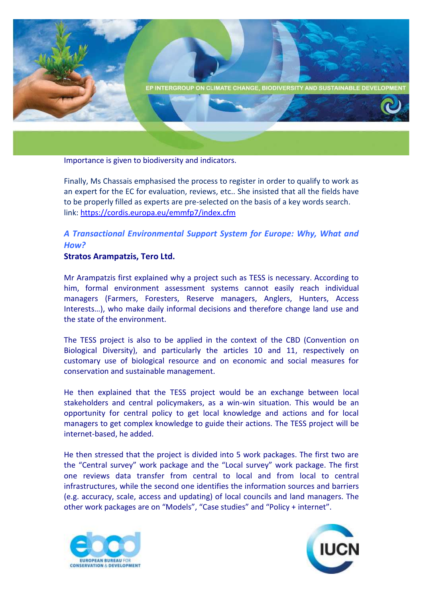

Importance is given to biodiversity and indicators.

Finally, Ms Chassais emphasised the process to register in order to qualify to work as an expert for the EC for evaluation, reviews, etc.. She insisted that all the fields have to be properly filled as experts are pre-selected on the basis of a key words search. link: <https://cordis.europa.eu/emmfp7/index.cfm>

### *A Transactional Environmental Support System for Europe: Why, What and How?*

#### **Stratos Arampatzis, Tero Ltd.**

Mr Arampatzis first explained why a project such as TESS is necessary. According to him, formal environment assessment systems cannot easily reach individual managers (Farmers, Foresters, Reserve managers, Anglers, Hunters, Access Interests…), who make daily informal decisions and therefore change land use and the state of the environment.

The TESS project is also to be applied in the context of the CBD (Convention on Biological Diversity), and particularly the articles 10 and 11, respectively on customary use of biological resource and on economic and social measures for conservation and sustainable management.

He then explained that the TESS project would be an exchange between local stakeholders and central policymakers, as a win-win situation. This would be an opportunity for central policy to get local knowledge and actions and for local managers to get complex knowledge to guide their actions. The TESS project will be internet-based, he added.

He then stressed that the project is divided into 5 work packages. The first two are the "Central survey" work package and the "Local survey" work package. The first one reviews data transfer from central to local and from local to central infrastructures, while the second one identifies the information sources and barriers (e.g. accuracy, scale, access and updating) of local councils and land managers. The other work packages are on "Models", "Case studies" and "Policy + internet".



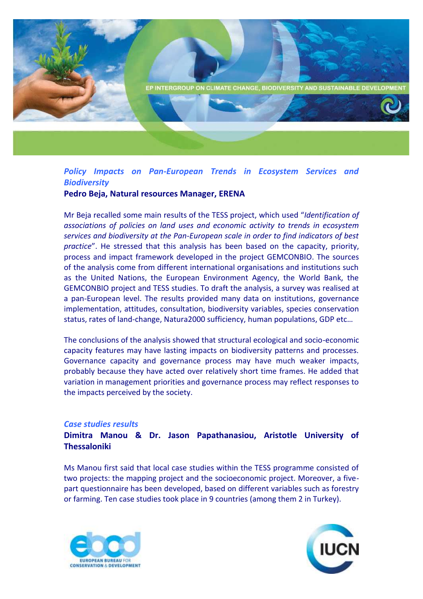

## *Policy Impacts on Pan-European Trends in Ecosystem Services and Biodiversity*

#### **Pedro Beja, Natural resources Manager, ERENA**

Mr Beja recalled some main results of the TESS project, which used "*Identification of associations of policies on land uses and economic activity to trends in ecosystem services and biodiversity at the Pan-European scale in order to find indicators of best practice*". He stressed that this analysis has been based on the capacity, priority, process and impact framework developed in the project GEMCONBIO. The sources of the analysis come from different international organisations and institutions such as the United Nations, the European Environment Agency, the World Bank, the GEMCONBIO project and TESS studies. To draft the analysis, a survey was realised at a pan-European level. The results provided many data on institutions, governance implementation, attitudes, consultation, biodiversity variables, species conservation status, rates of land-change, Natura2000 sufficiency, human populations, GDP etc…

The conclusions of the analysis showed that structural ecological and socio-economic capacity features may have lasting impacts on biodiversity patterns and processes. Governance capacity and governance process may have much weaker impacts, probably because they have acted over relatively short time frames. He added that variation in management priorities and governance process may reflect responses to the impacts perceived by the society.

#### *Case studies results*

### **Dimitra Manou & Dr. Jason Papathanasiou, Aristotle University of Thessaloniki**

Ms Manou first said that local case studies within the TESS programme consisted of two projects: the mapping project and the socioeconomic project. Moreover, a fivepart questionnaire has been developed, based on different variables such as forestry or farming. Ten case studies took place in 9 countries (among them 2 in Turkey).



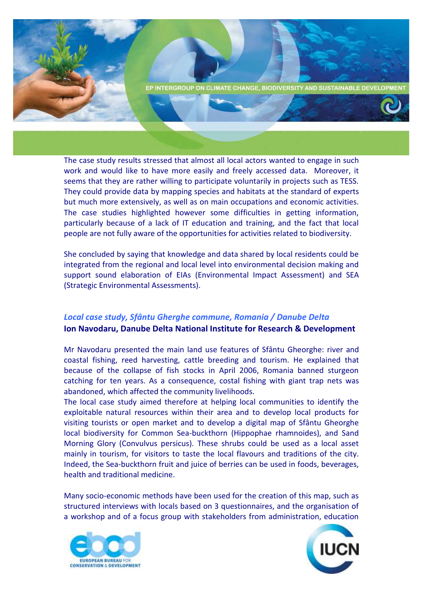

The case study results stressed that almost all local actors wanted to engage in such work and would like to have more easily and freely accessed data. Moreover, it seems that they are rather willing to participate voluntarily in projects such as TESS. They could provide data by mapping species and habitats at the standard of experts but much more extensively, as well as on main occupations and economic activities. The case studies highlighted however some difficulties in getting information, particularly because of a lack of IT education and training, and the fact that local people are not fully aware of the opportunities for activities related to biodiversity.

She concluded by saying that knowledge and data shared by local residents could be integrated from the regional and local level into environmental decision making and support sound elaboration of EIAs (Environmental Impact Assessment) and SEA (Strategic Environmental Assessments).

#### *Local case study, Sfântu Gherghe commune, Romania / Danube Delta*  **Ion Navodaru, Danube Delta National Institute for Research & Development**

Mr Navodaru presented the main land use features of Sfântu Gheorghe: river and coastal fishing, reed harvesting, cattle breeding and tourism. He explained that because of the collapse of fish stocks in April 2006, Romania banned sturgeon catching for ten years. As a consequence, costal fishing with giant trap nets was abandoned, which affected the community livelihoods.

The local case study aimed therefore at helping local communities to identify the exploitable natural resources within their area and to develop local products for visiting tourists or open market and to develop a digital map of Sfântu Gheorghe local biodiversity for Common Sea-buckthorn (Hippophae rhamnoides), and Sand Morning Glory (Convulvus persicus). These shrubs could be used as a local asset mainly in tourism, for visitors to taste the local flavours and traditions of the city. Indeed, the Sea-buckthorn fruit and juice of berries can be used in foods, beverages, health and traditional medicine.

Many socio-economic methods have been used for the creation of this map, such as structured interviews with locals based on 3 questionnaires, and the organisation of a workshop and of a focus group with stakeholders from administration, education



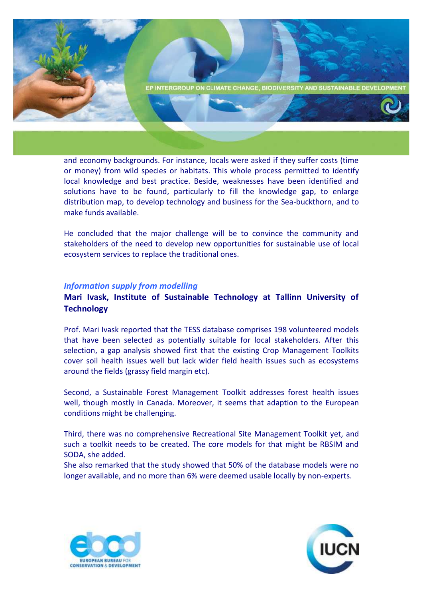

and economy backgrounds. For instance, locals were asked if they suffer costs (time or money) from wild species or habitats. This whole process permitted to identify local knowledge and best practice. Beside, weaknesses have been identified and solutions have to be found, particularly to fill the knowledge gap, to enlarge distribution map, to develop technology and business for the Sea-buckthorn, and to make funds available.

He concluded that the major challenge will be to convince the community and stakeholders of the need to develop new opportunities for sustainable use of local ecosystem services to replace the traditional ones.

#### *Information supply from modelling*

#### **Mari Ivask, Institute of Sustainable Technology at Tallinn University of Technology**

Prof. Mari Ivask reported that the TESS database comprises 198 volunteered models that have been selected as potentially suitable for local stakeholders. After this selection, a gap analysis showed first that the existing Crop Management Toolkits cover soil health issues well but lack wider field health issues such as ecosystems around the fields (grassy field margin etc).

Second, a Sustainable Forest Management Toolkit addresses forest health issues well, though mostly in Canada. Moreover, it seems that adaption to the European conditions might be challenging.

Third, there was no comprehensive Recreational Site Management Toolkit yet, and such a toolkit needs to be created. The core models for that might be RBSIM and SODA, she added.

She also remarked that the study showed that 50% of the database models were no longer available, and no more than 6% were deemed usable locally by non-experts.



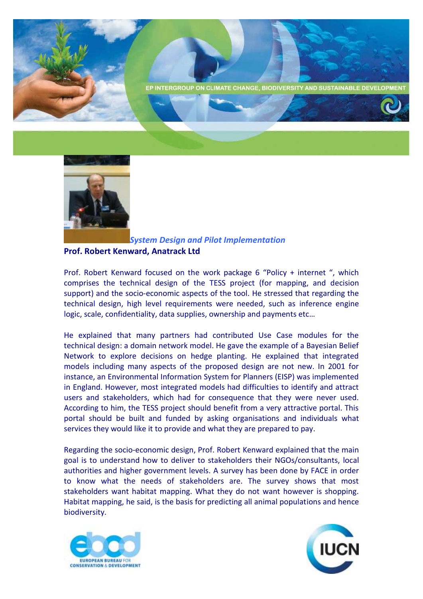





*System Design and Pilot Implementation* **Prof. Robert Kenward, Anatrack Ltd**

Prof. Robert Kenward focused on the work package 6 "Policy + internet ", which comprises the technical design of the TESS project (for mapping, and decision support) and the socio-economic aspects of the tool. He stressed that regarding the technical design, high level requirements were needed, such as inference engine logic, scale, confidentiality, data supplies, ownership and payments etc…

He explained that many partners had contributed Use Case modules for the technical design: a domain network model. He gave the example of a Bayesian Belief Network to explore decisions on hedge planting. He explained that integrated models including many aspects of the proposed design are not new. In 2001 for instance, an Environmental Information System for Planners (EISP) was implemented in England. However, most integrated models had difficulties to identify and attract users and stakeholders, which had for consequence that they were never used. According to him, the TESS project should benefit from a very attractive portal. This portal should be built and funded by asking organisations and individuals what services they would like it to provide and what they are prepared to pay.

Regarding the socio-economic design, Prof. Robert Kenward explained that the main goal is to understand how to deliver to stakeholders their NGOs/consultants, local authorities and higher government levels. A survey has been done by FACE in order to know what the needs of stakeholders are. The survey shows that most stakeholders want habitat mapping. What they do not want however is shopping. Habitat mapping, he said, is the basis for predicting all animal populations and hence biodiversity.



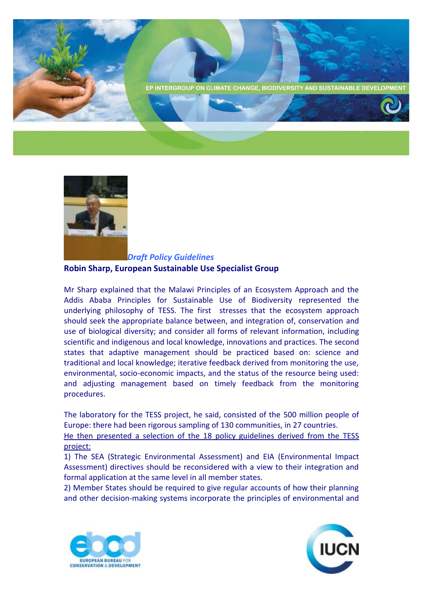



*Draft Policy Guidelines* **Robin Sharp, European Sustainable Use Specialist Group**

Mr Sharp explained that the Malawi Principles of an Ecosystem Approach and the Addis Ababa Principles for Sustainable Use of Biodiversity represented the underlying philosophy of TESS. The first stresses that the ecosystem approach should seek the appropriate balance between, and integration of, conservation and use of biological diversity; and consider all forms of relevant information, including scientific and indigenous and local knowledge, innovations and practices. The second states that adaptive management should be practiced based on: science and traditional and local knowledge; iterative feedback derived from monitoring the use, environmental, socio-economic impacts, and the status of the resource being used: and adjusting management based on timely feedback from the monitoring procedures.

The laboratory for the TESS project, he said, consisted of the 500 million people of Europe: there had been rigorous sampling of 130 communities, in 27 countries.

He then presented a selection of the 18 policy guidelines derived from the TESS project:

1) The SEA (Strategic Environmental Assessment) and EIA (Environmental Impact Assessment) directives should be reconsidered with a view to their integration and formal application at the same level in all member states.

2) Member States should be required to give regular accounts of how their planning and other decision-making systems incorporate the principles of environmental and



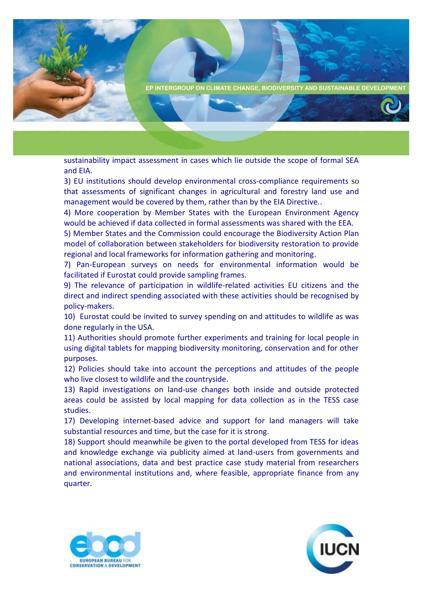

sustainability impact assessment in cases which lie outside the scope of formal SEA and EIA.

3) EU institutions should develop environmental cross-compliance requirements so that assessments of significant changes in agricultural and forestry land use and management would be covered by them, rather than by the EIA Directive..

4) More cooperation by Member States with the European Environment Agency would be achieved if data collected in formal assessments was shared with the EEA.

5) Member States and the Commission could encourage the Biodiversity Action Plan model of collaboration between stakeholders for biodiversity restoration to provide regional and local frameworks for information gathering and monitoring.

7) Pan-European surveys on needs for environmental information would be facilitated if Eurostat could provide sampling frames.

9) The relevance of participation in wildlife-related activities EU citizens and the direct and indirect spending associated with these activities should be recognised by policy-makers.

10) Eurostat could be invited to survey spending on and attitudes to wildlife as was done regularly in the USA.

11) Authorities should promote further experiments and training for local people in using digital tablets for mapping biodiversity monitoring, conservation and for other purposes.

12) Policies should take into account the perceptions and attitudes of the people who live closest to wildlife and the countryside.

13) Rapid investigations on land-use changes both inside and outside protected areas could be assisted by local mapping for data collection as in the TESS case studies.

17) Developing internet-based advice and support for land managers will take substantial resources and time, but the case for it is strong.

18) Support should meanwhile be given to the portal developed from TESS for ideas and knowledge exchange via publicity aimed at land-users from governments and national associations, data and best practice case study material from researchers and environmental institutions and, where feasible, appropriate finance from any quarter.



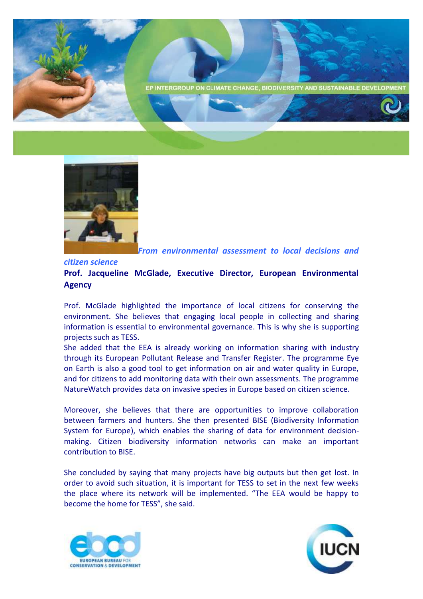



*From environmental assessment to local decisions and* 

#### *citizen science*

### **Prof. Jacqueline McGlade, Executive Director, European Environmental Agency**

Prof. McGlade highlighted the importance of local citizens for conserving the environment. She believes that engaging local people in collecting and sharing information is essential to environmental governance. This is why she is supporting projects such as TESS.

She added that the EEA is already working on information sharing with industry through its European Pollutant Release and Transfer Register. The programme Eye on Earth is also a good tool to get information on air and water quality in Europe, and for citizens to add monitoring data with their own assessments. The programme NatureWatch provides data on invasive species in Europe based on citizen science.

Moreover, she believes that there are opportunities to improve collaboration between farmers and hunters. She then presented BISE (Biodiversity Information System for Europe), which enables the sharing of data for environment decisionmaking. Citizen biodiversity information networks can make an important contribution to BISE.

She concluded by saying that many projects have big outputs but then get lost. In order to avoid such situation, it is important for TESS to set in the next few weeks the place where its network will be implemented. "The EEA would be happy to become the home for TESS", she said.



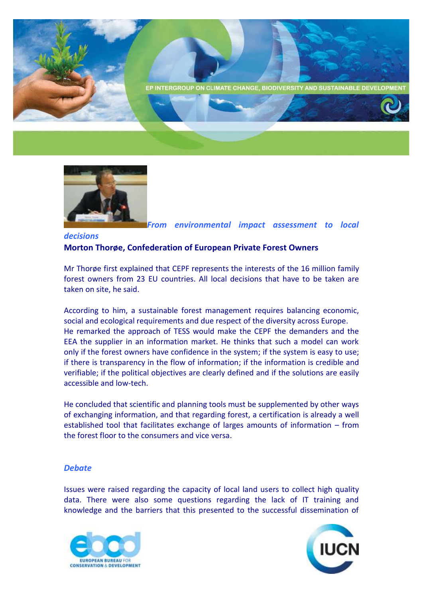



*From environmental impact assessment to local* 

### *decisions* **Morton Thorøe, Confederation of European Private Forest Owners**

Mr Thorøe first explained that CEPF represents the interests of the 16 million family forest owners from 23 EU countries. All local decisions that have to be taken are taken on site, he said.

According to him, a sustainable forest management requires balancing economic, social and ecological requirements and due respect of the diversity across Europe. He remarked the approach of TESS would make the CEPF the demanders and the EEA the supplier in an information market. He thinks that such a model can work only if the forest owners have confidence in the system; if the system is easy to use; if there is transparency in the flow of information; if the information is credible and verifiable; if the political objectives are clearly defined and if the solutions are easily accessible and low-tech.

He concluded that scientific and planning tools must be supplemented by other ways of exchanging information, and that regarding forest, a certification is already a well established tool that facilitates exchange of larges amounts of information – from the forest floor to the consumers and vice versa.

#### *Debate*

Issues were raised regarding the capacity of local land users to collect high quality data. There were also some questions regarding the lack of IT training and knowledge and the barriers that this presented to the successful dissemination of



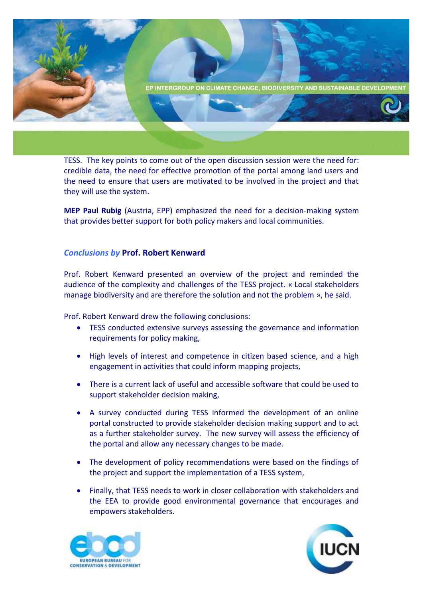

TESS. The key points to come out of the open discussion session were the need for: credible data, the need for effective promotion of the portal among land users and the need to ensure that users are motivated to be involved in the project and that they will use the system.

**MEP Paul Rubig** (Austria, EPP) emphasized the need for a decision-making system that provides better support for both policy makers and local communities.

#### *Conclusions by* **Prof. Robert Kenward**

Prof. Robert Kenward presented an overview of the project and reminded the audience of the complexity and challenges of the TESS project. « Local stakeholders manage biodiversity and are therefore the solution and not the problem », he said.

Prof. Robert Kenward drew the following conclusions:

- TESS conducted extensive surveys assessing the governance and information requirements for policy making,
- High levels of interest and competence in citizen based science, and a high engagement in activities that could inform mapping projects,
- There is a current lack of useful and accessible software that could be used to support stakeholder decision making,
- A survey conducted during TESS informed the development of an online portal constructed to provide stakeholder decision making support and to act as a further stakeholder survey. The new survey will assess the efficiency of the portal and allow any necessary changes to be made.
- The development of policy recommendations were based on the findings of the project and support the implementation of a TESS system,
- Finally, that TESS needs to work in closer collaboration with stakeholders and the EEA to provide good environmental governance that encourages and empowers stakeholders.



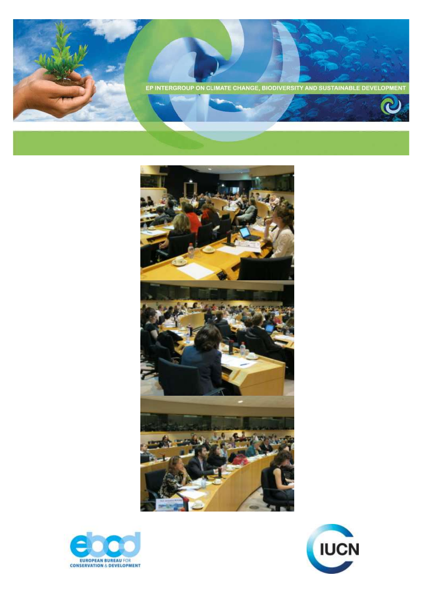





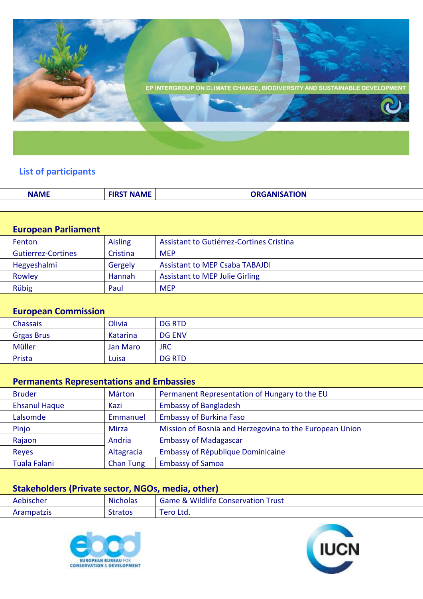

# **List of participants**

| <b>NAME</b> | <b>ST NAME</b> | <b>ORGANISATION</b> |
|-------------|----------------|---------------------|
|             |                |                     |

## **European Parliament**

| <b>Fenton</b>      | Aisling  | Assistant to Gutiérrez-Cortines Cristina |
|--------------------|----------|------------------------------------------|
| Gutierrez-Cortines | Cristina | <b>MFP</b>                               |
| Hegyeshalmi        | Gergely  | <b>Assistant to MEP Csaba TABAJDI</b>    |
| Rowley             | Hannah   | <b>Assistant to MEP Julie Girling</b>    |
| Rübig              | Paul     | <b>MFP</b>                               |

## **European Commission**

| Chassais          | Olivia   | <b>DG RTD</b> |
|-------------------|----------|---------------|
| <b>Grgas Brus</b> | Katarina | <b>DG ENV</b> |
| Müller            | Jan Maro | <b>JRC</b>    |
| Prista            | Luisa    | <b>DG RTD</b> |
|                   |          |               |

## **Permanents Representations and Embassies**

| <b>Bruder</b>        | Márton           | Permanent Representation of Hungary to the EU           |
|----------------------|------------------|---------------------------------------------------------|
| <b>Ehsanul Haque</b> | Kazi             | <b>Embassy of Bangladesh</b>                            |
| Lalsomde             | Emmanuel         | <b>Embassy of Burkina Faso</b>                          |
| Pinjo                | <b>Mirza</b>     | Mission of Bosnia and Herzegovina to the European Union |
| Rajaon               | Andria           | <b>Embassy of Madagascar</b>                            |
| <b>Reyes</b>         | Altagracia       | Embassy of République Dominicaine                       |
| Tuala Falani         | <b>Chan Tung</b> | <b>Embassy of Samoa</b>                                 |

# **Stakeholders (Private sector, NGOs, media, other)**

| Aebischer  | <b>Nicholas</b> | <b>Game &amp; Wildlife Conservation Trust</b> |
|------------|-----------------|-----------------------------------------------|
| Arampatzis | <b>Stratos</b>  | <b>Tero Ltd.</b>                              |



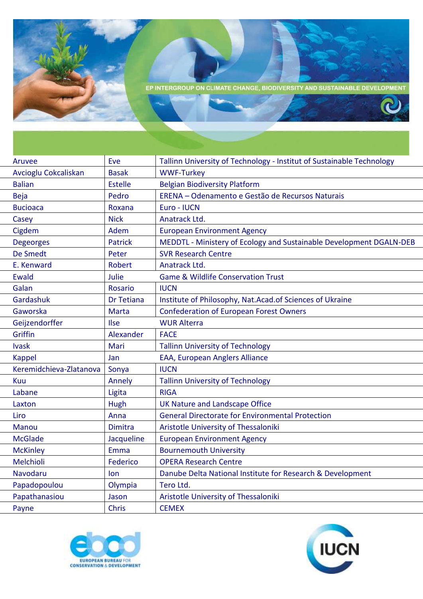

| Aruvee                  | Eve            | Tallinn University of Technology - Institut of Sustainable Technology |
|-------------------------|----------------|-----------------------------------------------------------------------|
| Avcioglu Cokcaliskan    | <b>Basak</b>   | <b>WWF-Turkey</b>                                                     |
| <b>Balian</b>           | <b>Estelle</b> | <b>Belgian Biodiversity Platform</b>                                  |
| <b>Beja</b>             | Pedro          | ERENA - Odenamento e Gestão de Recursos Naturais                      |
| <b>Bucioaca</b>         | Roxana         | Euro - IUCN                                                           |
| Casey                   | <b>Nick</b>    | Anatrack Ltd.                                                         |
| Cigdem                  | Adem           | <b>European Environment Agency</b>                                    |
| <b>Degeorges</b>        | <b>Patrick</b> | MEDDTL - Ministery of Ecology and Sustainable Development DGALN-DEB   |
| <b>De Smedt</b>         | Peter          | <b>SVR Research Centre</b>                                            |
| E. Kenward              | <b>Robert</b>  | Anatrack Ltd.                                                         |
| Ewald                   | Julie          | <b>Game &amp; Wildlife Conservation Trust</b>                         |
| Galan                   | <b>Rosario</b> | <b>IUCN</b>                                                           |
| Gardashuk               | Dr Tetiana     | Institute of Philosophy, Nat.Acad.of Sciences of Ukraine              |
| Gaworska                | <b>Marta</b>   | <b>Confederation of European Forest Owners</b>                        |
| Geijzendorffer          | Ilse           | <b>WUR Alterra</b>                                                    |
| Griffin                 | Alexander      | <b>FACE</b>                                                           |
| <b>Ivask</b>            | Mari           | <b>Tallinn University of Technology</b>                               |
| <b>Kappel</b>           | Jan            | EAA, European Anglers Alliance                                        |
| Keremidchieva-Zlatanova | Sonya          | <b>IUCN</b>                                                           |
| Kuu                     | Annely         | <b>Tallinn University of Technology</b>                               |
| Labane                  | Ligita         | <b>RIGA</b>                                                           |
| Laxton                  | Hugh           | UK Nature and Landscape Office                                        |
| Liro                    | Anna           | <b>General Directorate for Environmental Protection</b>               |
| <b>Manou</b>            | <b>Dimitra</b> | Aristotle University of Thessaloniki                                  |
| <b>McGlade</b>          | Jacqueline     | <b>European Environment Agency</b>                                    |
| <b>McKinley</b>         | Emma           | <b>Bournemouth University</b>                                         |
| Melchioli               | Federico       | <b>OPERA Research Centre</b>                                          |
| Navodaru                | lon.           | Danube Delta National Institute for Research & Development            |
| Papadopoulou            | Olympia        | Tero Ltd.                                                             |
| Papathanasiou           | Jason          | Aristotle University of Thessaloniki                                  |
| Payne                   | <b>Chris</b>   | <b>CEMEX</b>                                                          |